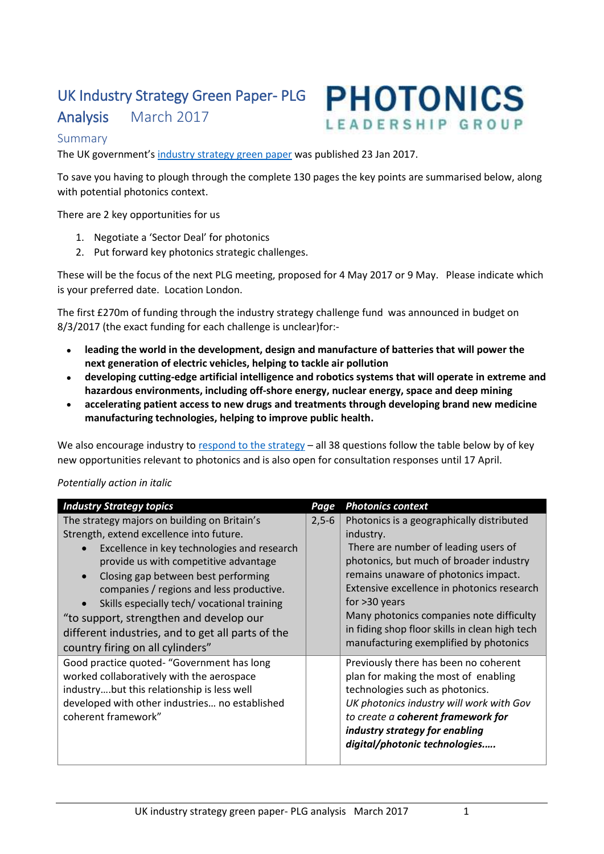# UK Industry Strategy Green Paper- PLG

Analysis March 2017



## Summary

The UK government's [industry strategy green paper](https://beisgovuk.citizenspace.com/strategy/industrial-strategy/supporting_documents/buildingourindustrialstrategygreenpaper.pdf) was published 23 Jan 2017.

To save you having to plough through the complete 130 pages the key points are summarised below, along with potential photonics context.

There are 2 key opportunities for us

- 1. Negotiate a 'Sector Deal' for photonics
- 2. Put forward key photonics strategic challenges.

These will be the focus of the next PLG meeting, proposed for 4 May 2017 or 9 May. Please indicate which is your preferred date. Location London.

The first £270m of funding through the industry strategy challenge fund was announced in budget on 8/3/2017 (the exact funding for each challenge is unclear)for:-

- **leading the world in the development, design and manufacture of batteries that will power the next generation of electric vehicles, helping to tackle air pollution**
- **developing cutting-edge artificial intelligence and robotics systems that will operate in extreme and hazardous environments, including off-shore energy, nuclear energy, space and deep mining**
- **accelerating patient access to new drugs and treatments through developing brand new medicine manufacturing technologies, helping to improve public health.**

We also encourage industry t[o respond to the strategy](https://beisgovuk.citizenspace.com/strategy/industrial-strategy/consultation/intro/) – all 38 questions follow the table below by of key new opportunities relevant to photonics and is also open for consultation responses until 17 April.

#### *Potentially action in italic*

| <b>Industry Strategy topics</b>                                                                                                                                                                                                                                                                                                                                                                                                                                    | Page    | <b>Photonics context</b>                                                                                                                                                                                                                                                                                                                                                                   |
|--------------------------------------------------------------------------------------------------------------------------------------------------------------------------------------------------------------------------------------------------------------------------------------------------------------------------------------------------------------------------------------------------------------------------------------------------------------------|---------|--------------------------------------------------------------------------------------------------------------------------------------------------------------------------------------------------------------------------------------------------------------------------------------------------------------------------------------------------------------------------------------------|
| The strategy majors on building on Britain's<br>Strength, extend excellence into future.<br>Excellence in key technologies and research<br>provide us with competitive advantage<br>Closing gap between best performing<br>$\bullet$<br>companies / regions and less productive.<br>Skills especially tech/vocational training<br>"to support, strengthen and develop our<br>different industries, and to get all parts of the<br>country firing on all cylinders" | $2,5-6$ | Photonics is a geographically distributed<br>industry.<br>There are number of leading users of<br>photonics, but much of broader industry<br>remains unaware of photonics impact.<br>Extensive excellence in photonics research<br>for $>30$ years<br>Many photonics companies note difficulty<br>in fiding shop floor skills in clean high tech<br>manufacturing exemplified by photonics |
| Good practice quoted- "Government has long<br>worked collaboratively with the aerospace<br>industrybut this relationship is less well<br>developed with other industries no established<br>coherent framework"                                                                                                                                                                                                                                                     |         | Previously there has been no coherent<br>plan for making the most of enabling<br>technologies such as photonics.<br>UK photonics industry will work with Gov<br>to create a coherent framework for<br>industry strategy for enabling<br>digital/photonic technologies                                                                                                                      |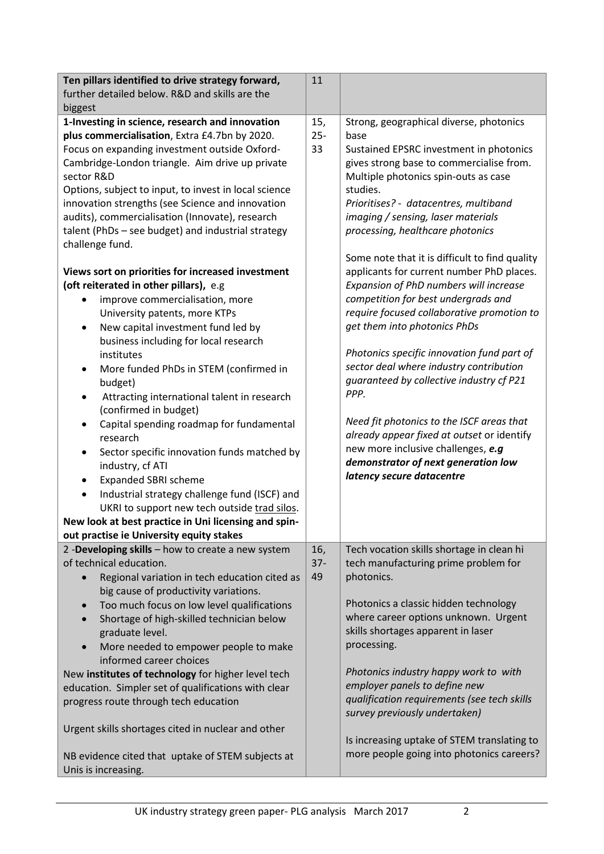| Ten pillars identified to drive strategy forward,<br>further detailed below. R&D and skills are the                                                                                                                                                                                                                                                                                                                                                                                                                                                                                                                                                                                     | 11                  |                                                                                                                                                                                                                                                                                                                                                                                                                                                                                               |
|-----------------------------------------------------------------------------------------------------------------------------------------------------------------------------------------------------------------------------------------------------------------------------------------------------------------------------------------------------------------------------------------------------------------------------------------------------------------------------------------------------------------------------------------------------------------------------------------------------------------------------------------------------------------------------------------|---------------------|-----------------------------------------------------------------------------------------------------------------------------------------------------------------------------------------------------------------------------------------------------------------------------------------------------------------------------------------------------------------------------------------------------------------------------------------------------------------------------------------------|
| biggest<br>1-Investing in science, research and innovation<br>plus commercialisation, Extra £4.7bn by 2020.<br>Focus on expanding investment outside Oxford-<br>Cambridge-London triangle. Aim drive up private<br>sector R&D<br>Options, subject to input, to invest in local science<br>innovation strengths (see Science and innovation<br>audits), commercialisation (Innovate), research<br>talent (PhDs - see budget) and industrial strategy<br>challenge fund.<br>Views sort on priorities for increased investment<br>(oft reiterated in other pillars), e.g<br>improve commercialisation, more                                                                                | 15,<br>$25 -$<br>33 | Strong, geographical diverse, photonics<br>base<br>Sustained EPSRC investment in photonics<br>gives strong base to commercialise from.<br>Multiple photonics spin-outs as case<br>studies.<br>Prioritises? - datacentres, multiband<br>imaging / sensing, laser materials<br>processing, healthcare photonics<br>Some note that it is difficult to find quality<br>applicants for current number PhD places.<br>Expansion of PhD numbers will increase<br>competition for best undergrads and |
| University patents, more KTPs<br>New capital investment fund led by<br>$\bullet$<br>business including for local research<br>institutes<br>More funded PhDs in STEM (confirmed in<br>$\bullet$<br>budget)<br>Attracting international talent in research<br>٠<br>(confirmed in budget)<br>Capital spending roadmap for fundamental<br>research<br>Sector specific innovation funds matched by<br>$\bullet$<br>industry, cf ATI<br><b>Expanded SBRI scheme</b><br>٠<br>Industrial strategy challenge fund (ISCF) and<br>$\bullet$<br>UKRI to support new tech outside trad silos.<br>New look at best practice in Uni licensing and spin-<br>out practise ie University equity stakes    |                     | require focused collaborative promotion to<br>get them into photonics PhDs<br>Photonics specific innovation fund part of<br>sector deal where industry contribution<br>guaranteed by collective industry cf P21<br>PPP.<br>Need fit photonics to the ISCF areas that<br>already appear fixed at outset or identify<br>new more inclusive challenges, e.g<br>demonstrator of next generation low<br>latency secure datacentre                                                                  |
| 2 -Developing skills - how to create a new system<br>of technical education.<br>Regional variation in tech education cited as<br>$\bullet$<br>big cause of productivity variations.<br>Too much focus on low level qualifications<br>$\bullet$<br>Shortage of high-skilled technician below<br>graduate level.<br>More needed to empower people to make<br>$\bullet$<br>informed career choices<br>New institutes of technology for higher level tech<br>education. Simpler set of qualifications with clear<br>progress route through tech education<br>Urgent skills shortages cited in nuclear and other<br>NB evidence cited that uptake of STEM subjects at<br>Unis is increasing. | 16,<br>$37 -$<br>49 | Tech vocation skills shortage in clean hi<br>tech manufacturing prime problem for<br>photonics.<br>Photonics a classic hidden technology<br>where career options unknown. Urgent<br>skills shortages apparent in laser<br>processing.<br>Photonics industry happy work to with<br>employer panels to define new<br>qualification requirements (see tech skills<br>survey previously undertaken)<br>Is increasing uptake of STEM translating to<br>more people going into photonics careers?   |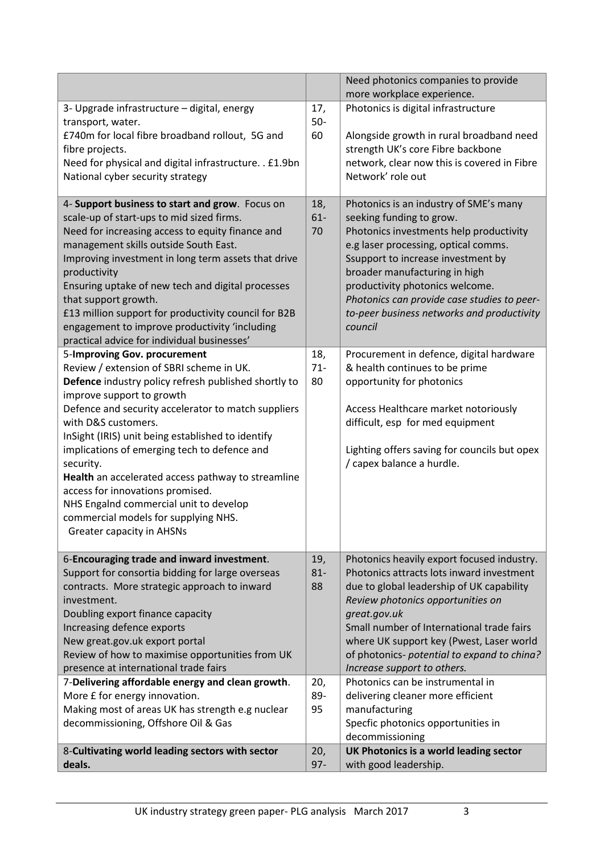|                                                                                                                                                                                                                                                                                                                                                                                                                                                                                                                                                                               |                                   | Need photonics companies to provide                                                                                                                                                                                                                                                                                                                                                                                                       |
|-------------------------------------------------------------------------------------------------------------------------------------------------------------------------------------------------------------------------------------------------------------------------------------------------------------------------------------------------------------------------------------------------------------------------------------------------------------------------------------------------------------------------------------------------------------------------------|-----------------------------------|-------------------------------------------------------------------------------------------------------------------------------------------------------------------------------------------------------------------------------------------------------------------------------------------------------------------------------------------------------------------------------------------------------------------------------------------|
|                                                                                                                                                                                                                                                                                                                                                                                                                                                                                                                                                                               |                                   | more workplace experience.                                                                                                                                                                                                                                                                                                                                                                                                                |
| 3- Upgrade infrastructure - digital, energy<br>transport, water.<br>£740m for local fibre broadband rollout, 5G and<br>fibre projects.<br>Need for physical and digital infrastructure. . £1.9bn<br>National cyber security strategy                                                                                                                                                                                                                                                                                                                                          | 17,<br>$50-$<br>60                | Photonics is digital infrastructure<br>Alongside growth in rural broadband need<br>strength UK's core Fibre backbone<br>network, clear now this is covered in Fibre<br>Network' role out                                                                                                                                                                                                                                                  |
| 4- Support business to start and grow. Focus on<br>scale-up of start-ups to mid sized firms.<br>Need for increasing access to equity finance and<br>management skills outside South East.<br>Improving investment in long term assets that drive<br>productivity<br>Ensuring uptake of new tech and digital processes<br>that support growth.<br>£13 million support for productivity council for B2B<br>engagement to improve productivity 'including<br>practical advice for individual businesses'                                                                         | 18,<br>$61-$<br>70                | Photonics is an industry of SME's many<br>seeking funding to grow.<br>Photonics investments help productivity<br>e.g laser processing, optical comms.<br>Ssupport to increase investment by<br>broader manufacturing in high<br>productivity photonics welcome.<br>Photonics can provide case studies to peer-<br>to-peer business networks and productivity<br>council                                                                   |
| 5-Improving Gov. procurement<br>Review / extension of SBRI scheme in UK.<br>Defence industry policy refresh published shortly to<br>improve support to growth<br>Defence and security accelerator to match suppliers<br>with D&S customers.<br>InSight (IRIS) unit being established to identify<br>implications of emerging tech to defence and<br>security.<br>Health an accelerated access pathway to streamline<br>access for innovations promised.<br>NHS Engalnd commercial unit to develop<br>commercial models for supplying NHS.<br><b>Greater capacity in AHSNs</b> | 18,<br>$71 -$<br>80               | Procurement in defence, digital hardware<br>& health continues to be prime<br>opportunity for photonics<br>Access Healthcare market notoriously<br>difficult, esp for med equipment<br>Lighting offers saving for councils but opex<br>/ capex balance a hurdle.                                                                                                                                                                          |
| 6-Encouraging trade and inward investment.<br>Support for consortia bidding for large overseas<br>contracts. More strategic approach to inward<br>investment.<br>Doubling export finance capacity<br>Increasing defence exports<br>New great.gov.uk export portal<br>Review of how to maximise opportunities from UK<br>presence at international trade fairs<br>7-Delivering affordable energy and clean growth.<br>More £ for energy innovation.                                                                                                                            | 19,<br>$81 -$<br>88<br>20,<br>89- | Photonics heavily export focused industry.<br>Photonics attracts lots inward investment<br>due to global leadership of UK capability<br>Review photonics opportunities on<br>great.gov.uk<br>Small number of International trade fairs<br>where UK support key (Pwest, Laser world<br>of photonics- potential to expand to china?<br>Increase support to others.<br>Photonics can be instrumental in<br>delivering cleaner more efficient |
| Making most of areas UK has strength e.g nuclear<br>decommissioning, Offshore Oil & Gas                                                                                                                                                                                                                                                                                                                                                                                                                                                                                       | 95                                | manufacturing<br>Specfic photonics opportunities in<br>decommissioning                                                                                                                                                                                                                                                                                                                                                                    |
| 8-Cultivating world leading sectors with sector                                                                                                                                                                                                                                                                                                                                                                                                                                                                                                                               | 20,                               | UK Photonics is a world leading sector                                                                                                                                                                                                                                                                                                                                                                                                    |
| deals.                                                                                                                                                                                                                                                                                                                                                                                                                                                                                                                                                                        | $97 -$                            | with good leadership.                                                                                                                                                                                                                                                                                                                                                                                                                     |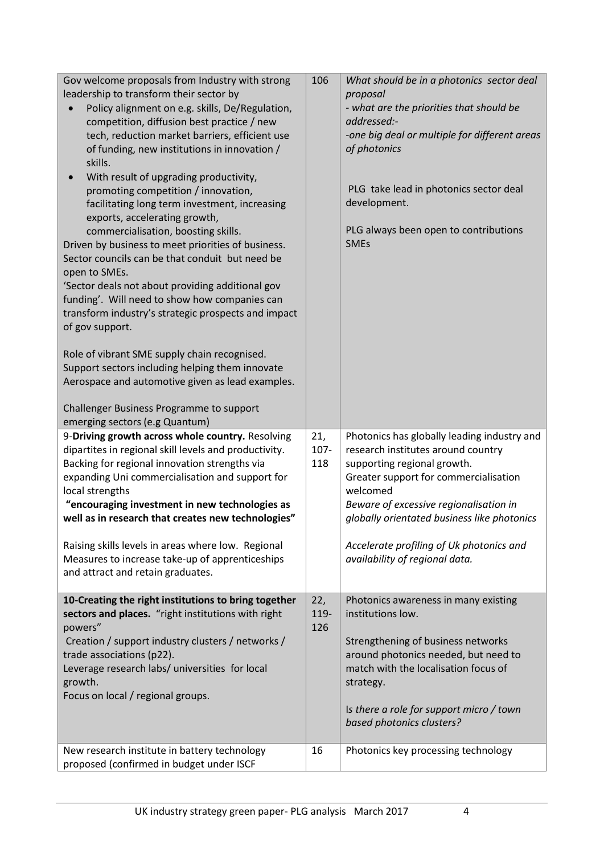| Gov welcome proposals from Industry with strong<br>leadership to transform their sector by<br>Policy alignment on e.g. skills, De/Regulation,<br>competition, diffusion best practice / new<br>tech, reduction market barriers, efficient use<br>of funding, new institutions in innovation /<br>skills.<br>With result of upgrading productivity,<br>promoting competition / innovation,<br>facilitating long term investment, increasing<br>exports, accelerating growth,<br>commercialisation, boosting skills.<br>Driven by business to meet priorities of business.<br>Sector councils can be that conduit but need be<br>open to SMEs.<br>'Sector deals not about providing additional gov<br>funding'. Will need to show how companies can<br>transform industry's strategic prospects and impact<br>of gov support. | 106                | What should be in a photonics sector deal<br>proposal<br>- what are the priorities that should be<br>addressed:-<br>-one big deal or multiple for different areas<br>of photonics<br>PLG take lead in photonics sector deal<br>development.<br>PLG always been open to contributions<br><b>SMEs</b>                                          |
|-----------------------------------------------------------------------------------------------------------------------------------------------------------------------------------------------------------------------------------------------------------------------------------------------------------------------------------------------------------------------------------------------------------------------------------------------------------------------------------------------------------------------------------------------------------------------------------------------------------------------------------------------------------------------------------------------------------------------------------------------------------------------------------------------------------------------------|--------------------|----------------------------------------------------------------------------------------------------------------------------------------------------------------------------------------------------------------------------------------------------------------------------------------------------------------------------------------------|
| Role of vibrant SME supply chain recognised.<br>Support sectors including helping them innovate<br>Aerospace and automotive given as lead examples.<br>Challenger Business Programme to support<br>emerging sectors (e.g Quantum)                                                                                                                                                                                                                                                                                                                                                                                                                                                                                                                                                                                           |                    |                                                                                                                                                                                                                                                                                                                                              |
| 9-Driving growth across whole country. Resolving<br>dipartites in regional skill levels and productivity.<br>Backing for regional innovation strengths via<br>expanding Uni commercialisation and support for<br>local strengths<br>"encouraging investment in new technologies as<br>well as in research that creates new technologies"<br>Raising skills levels in areas where low. Regional<br>Measures to increase take-up of apprenticeships<br>and attract and retain graduates.                                                                                                                                                                                                                                                                                                                                      | 21,<br>107-<br>118 | Photonics has globally leading industry and<br>research institutes around country<br>supporting regional growth.<br>Greater support for commercialisation<br>welcomed<br>Beware of excessive regionalisation in<br>globally orientated business like photonics<br>Accelerate profiling of Uk photonics and<br>availability of regional data. |
| 10-Creating the right institutions to bring together<br>sectors and places. "right institutions with right<br>powers"<br>Creation / support industry clusters / networks /<br>trade associations (p22).<br>Leverage research labs/ universities for local<br>growth.<br>Focus on local / regional groups.                                                                                                                                                                                                                                                                                                                                                                                                                                                                                                                   | 22,<br>119-<br>126 | Photonics awareness in many existing<br>institutions low.<br>Strengthening of business networks<br>around photonics needed, but need to<br>match with the localisation focus of<br>strategy.<br>Is there a role for support micro / town<br>based photonics clusters?                                                                        |
| New research institute in battery technology<br>proposed (confirmed in budget under ISCF                                                                                                                                                                                                                                                                                                                                                                                                                                                                                                                                                                                                                                                                                                                                    | 16                 | Photonics key processing technology                                                                                                                                                                                                                                                                                                          |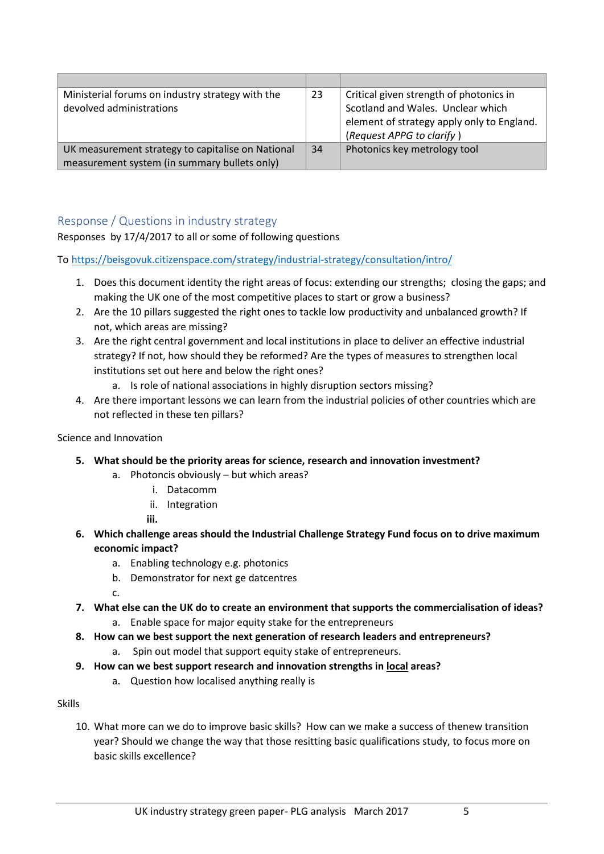| Ministerial forums on industry strategy with the  | 23 | Critical given strength of photonics in    |
|---------------------------------------------------|----|--------------------------------------------|
| devolved administrations                          |    | Scotland and Wales. Unclear which          |
|                                                   |    | element of strategy apply only to England. |
|                                                   |    | (Request APPG to clarify)                  |
| UK measurement strategy to capitalise on National | 34 | Photonics key metrology tool               |
| measurement system (in summary bullets only)      |    |                                            |

# Response / Questions in industry strategy

Responses by 17/4/2017 to all or some of following questions

To<https://beisgovuk.citizenspace.com/strategy/industrial-strategy/consultation/intro/>

- 1. Does this document identity the right areas of focus: extending our strengths; closing the gaps; and making the UK one of the most competitive places to start or grow a business?
- 2. Are the 10 pillars suggested the right ones to tackle low productivity and unbalanced growth? If not, which areas are missing?
- 3. Are the right central government and local institutions in place to deliver an effective industrial strategy? If not, how should they be reformed? Are the types of measures to strengthen local institutions set out here and below the right ones?
	- a. Is role of national associations in highly disruption sectors missing?
- 4. Are there important lessons we can learn from the industrial policies of other countries which are not reflected in these ten pillars?

## Science and Innovation

- **5. What should be the priority areas for science, research and innovation investment?**
	- a. Photoncis obviously but which areas?
		- i. Datacomm
		- ii. Integration

**iii.**

- **6. Which challenge areas should the Industrial Challenge Strategy Fund focus on to drive maximum economic impact?**
	- a. Enabling technology e.g. photonics
	- b. Demonstrator for next ge datcentres

c.

- **7. What else can the UK do to create an environment that supports the commercialisation of ideas?** a. Enable space for major equity stake for the entrepreneurs
- **8. How can we best support the next generation of research leaders and entrepreneurs?**
	- a. Spin out model that support equity stake of entrepreneurs.
- **9. How can we best support research and innovation strengths in local areas?**
	- a. Question how localised anything really is

## Skills

10. What more can we do to improve basic skills? How can we make a success of thenew transition year? Should we change the way that those resitting basic qualifications study, to focus more on basic skills excellence?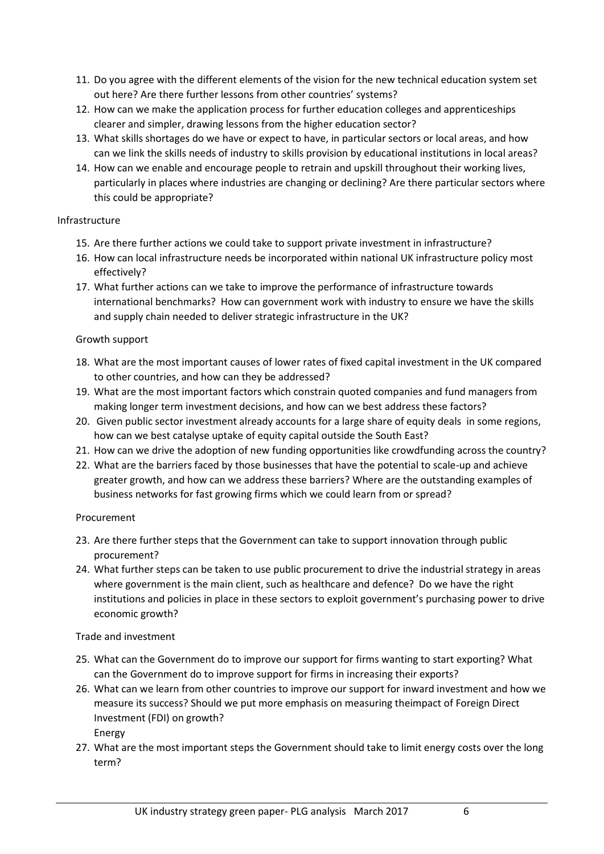- 11. Do you agree with the different elements of the vision for the new technical education system set out here? Are there further lessons from other countries' systems?
- 12. How can we make the application process for further education colleges and apprenticeships clearer and simpler, drawing lessons from the higher education sector?
- 13. What skills shortages do we have or expect to have, in particular sectors or local areas, and how can we link the skills needs of industry to skills provision by educational institutions in local areas?
- 14. How can we enable and encourage people to retrain and upskill throughout their working lives, particularly in places where industries are changing or declining? Are there particular sectors where this could be appropriate?

#### Infrastructure

- 15. Are there further actions we could take to support private investment in infrastructure?
- 16. How can local infrastructure needs be incorporated within national UK infrastructure policy most effectively?
- 17. What further actions can we take to improve the performance of infrastructure towards international benchmarks? How can government work with industry to ensure we have the skills and supply chain needed to deliver strategic infrastructure in the UK?

#### Growth support

- 18. What are the most important causes of lower rates of fixed capital investment in the UK compared to other countries, and how can they be addressed?
- 19. What are the most important factors which constrain quoted companies and fund managers from making longer term investment decisions, and how can we best address these factors?
- 20. Given public sector investment already accounts for a large share of equity deals in some regions, how can we best catalyse uptake of equity capital outside the South East?
- 21. How can we drive the adoption of new funding opportunities like crowdfunding across the country?
- 22. What are the barriers faced by those businesses that have the potential to scale-up and achieve greater growth, and how can we address these barriers? Where are the outstanding examples of business networks for fast growing firms which we could learn from or spread?

## Procurement

- 23. Are there further steps that the Government can take to support innovation through public procurement?
- 24. What further steps can be taken to use public procurement to drive the industrial strategy in areas where government is the main client, such as healthcare and defence? Do we have the right institutions and policies in place in these sectors to exploit government's purchasing power to drive economic growth?

## Trade and investment

- 25. What can the Government do to improve our support for firms wanting to start exporting? What can the Government do to improve support for firms in increasing their exports?
- 26. What can we learn from other countries to improve our support for inward investment and how we measure its success? Should we put more emphasis on measuring theimpact of Foreign Direct Investment (FDI) on growth? Energy
- 27. What are the most important steps the Government should take to limit energy costs over the long term?